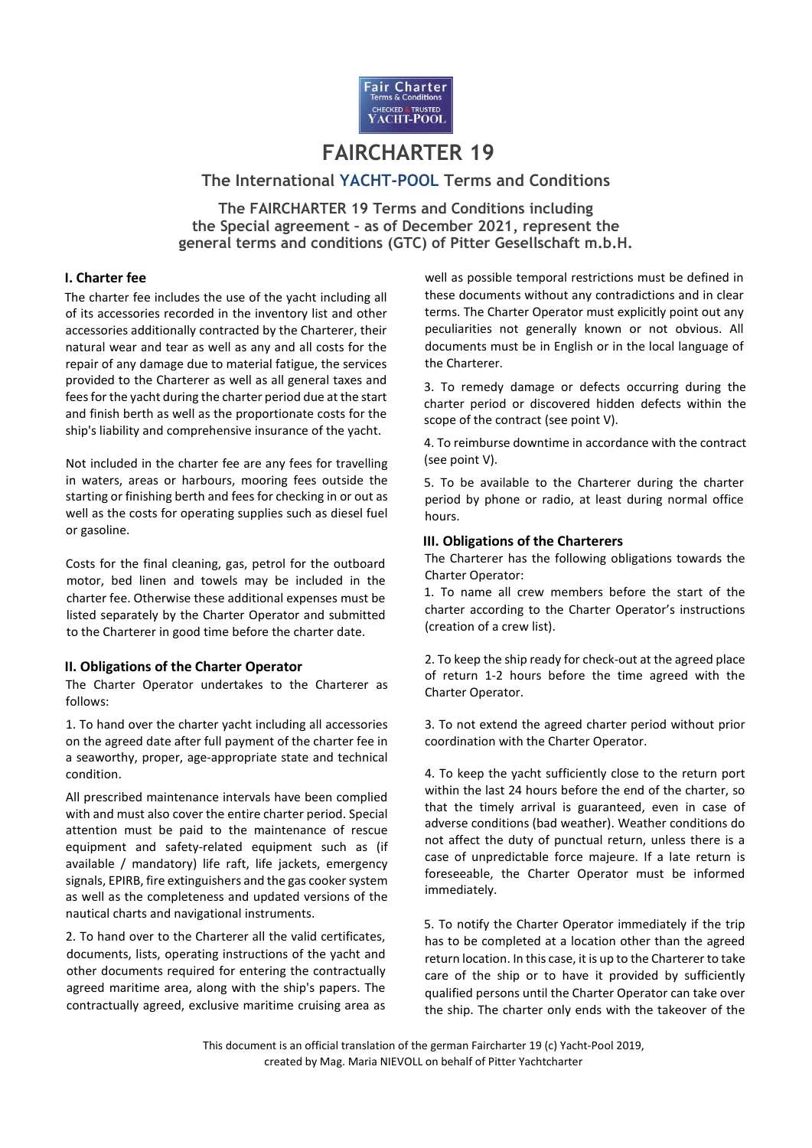

# **FAIRCHARTER 19**

# **The International YACHT-POOL Terms and Conditions**

**The FAIRCHARTER 19 Terms and Conditions including the Special agreement – as of December 2021, represent the general terms and conditions (GTC) of Pitter Gesellschaft m.b.H.**

## **I. Charter fee**

The charter fee includes the use of the yacht including all of its accessories recorded in the inventory list and other accessories additionally contracted by the Charterer, their natural wear and tear as well as any and all costs for the repair of any damage due to material fatigue, the services provided to the Charterer as well as all general taxes and fees for the yacht during the charter period due at the start and finish berth as well as the proportionate costs for the ship's liability and comprehensive insurance of the yacht.

Not included in the charter fee are any fees for travelling in waters, areas or harbours, mooring fees outside the starting or finishing berth and fees for checking in or out as well as the costs for operating supplies such as diesel fuel or gasoline.

Costs for the final cleaning, gas, petrol for the outboard motor, bed linen and towels may be included in the charter fee. Otherwise these additional expenses must be listed separately by the Charter Operator and submitted to the Charterer in good time before the charter date.

## **II. Obligations of the Charter Operator**

The Charter Operator undertakes to the Charterer as follows:

1. To hand over the charter yacht including all accessories on the agreed date after full payment of the charter fee in a seaworthy, proper, age-appropriate state and technical condition.

All prescribed maintenance intervals have been complied with and must also cover the entire charter period. Special attention must be paid to the maintenance of rescue equipment and safety-related equipment such as (if available / mandatory) life raft, life jackets, emergency signals, EPIRB, fire extinguishers and the gas cooker system as well as the completeness and updated versions of the nautical charts and navigational instruments.

2. To hand over to the Charterer all the valid certificates, documents, lists, operating instructions of the yacht and other documents required for entering the contractually agreed maritime area, along with the ship's papers. The contractually agreed, exclusive maritime cruising area as well as possible temporal restrictions must be defined in these documents without any contradictions and in clear terms. The Charter Operator must explicitly point out any peculiarities not generally known or not obvious. All documents must be in English or in the local language of the Charterer.

3. To remedy damage or defects occurring during the charter period or discovered hidden defects within the scope of the contract (see point V).

4. To reimburse downtime in accordance with the contract (see point V).

5. To be available to the Charterer during the charter period by phone or radio, at least during normal office hours.

# **III. Obligations of the Charterers**

The Charterer has the following obligations towards the Charter Operator:

1. To name all crew members before the start of the charter according to the Charter Operator's instructions (creation of a crew list).

2. To keep the ship ready for check-out at the agreed place of return 1-2 hours before the time agreed with the Charter Operator.

3. To not extend the agreed charter period without prior coordination with the Charter Operator.

4. To keep the yacht sufficiently close to the return port within the last 24 hours before the end of the charter, so that the timely arrival is guaranteed, even in case of adverse conditions (bad weather). Weather conditions do not affect the duty of punctual return, unless there is a case of unpredictable force majeure. If a late return is foreseeable, the Charter Operator must be informed immediately.

5. To notify the Charter Operator immediately if the trip has to be completed at a location other than the agreed return location. In this case, it is up to the Charterer to take care of the ship or to have it provided by sufficiently qualified persons until the Charter Operator can take over the ship. The charter only ends with the takeover of the

This document is an official translation of the german Faircharter 19 (c) Yacht-Pool 2019, created by Mag. Maria NIEVOLL on behalf of Pitter Yachtcharter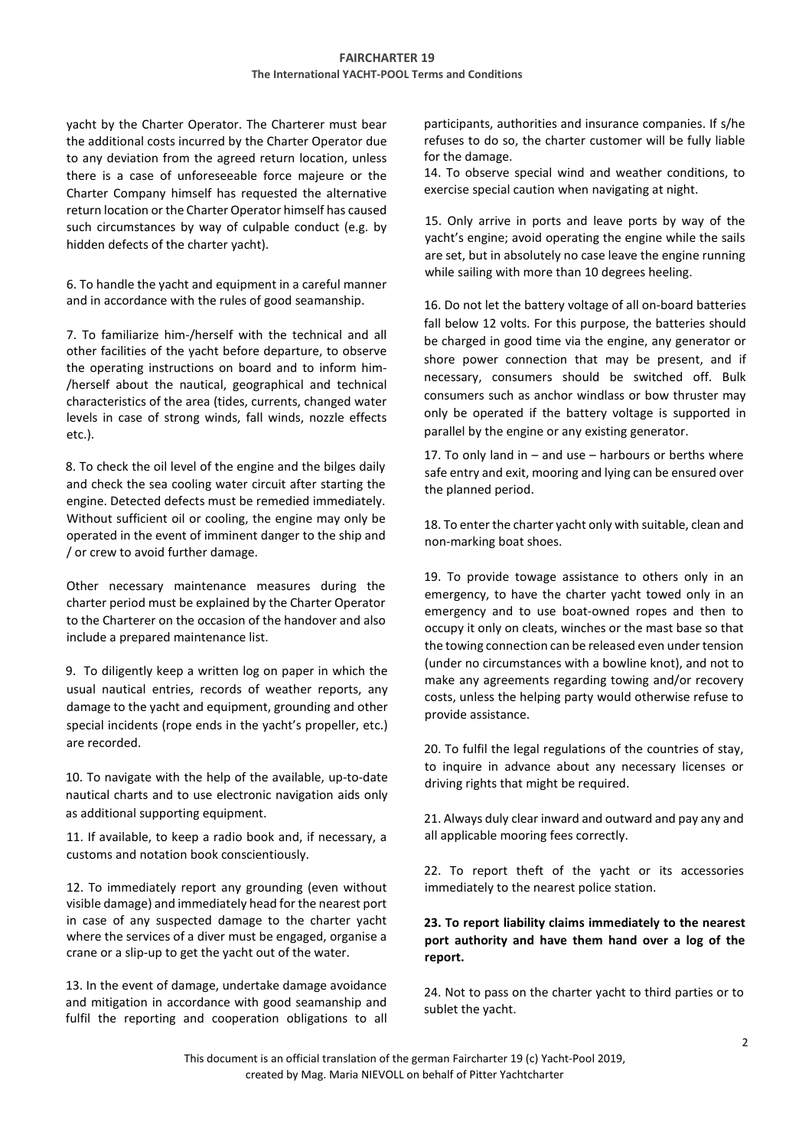yacht by the Charter Operator. The Charterer must bear the additional costs incurred by the Charter Operator due to any deviation from the agreed return location, unless there is a case of unforeseeable force majeure or the Charter Company himself has requested the alternative return location or the Charter Operator himself has caused such circumstances by way of culpable conduct (e.g. by hidden defects of the charter yacht).

6. To handle the yacht and equipment in a careful manner and in accordance with the rules of good seamanship.

7. To familiarize him-/herself with the technical and all other facilities of the yacht before departure, to observe the operating instructions on board and to inform him- /herself about the nautical, geographical and technical characteristics of the area (tides, currents, changed water levels in case of strong winds, fall winds, nozzle effects etc.).

8. To check the oil level of the engine and the bilges daily and check the sea cooling water circuit after starting the engine. Detected defects must be remedied immediately. Without sufficient oil or cooling, the engine may only be operated in the event of imminent danger to the ship and / or crew to avoid further damage.

Other necessary maintenance measures during the charter period must be explained by the Charter Operator to the Charterer on the occasion of the handover and also include a prepared maintenance list.

9. To diligently keep a written log on paper in which the usual nautical entries, records of weather reports, any damage to the yacht and equipment, grounding and other special incidents (rope ends in the yacht's propeller, etc.) are recorded.

10. To navigate with the help of the available, up-to-date nautical charts and to use electronic navigation aids only as additional supporting equipment.

11. If available, to keep a radio book and, if necessary, a customs and notation book conscientiously.

12. To immediately report any grounding (even without visible damage) and immediately head for the nearest port in case of any suspected damage to the charter yacht where the services of a diver must be engaged, organise a crane or a slip-up to get the yacht out of the water.

13. In the event of damage, undertake damage avoidance and mitigation in accordance with good seamanship and fulfil the reporting and cooperation obligations to all participants, authorities and insurance companies. If s/he refuses to do so, the charter customer will be fully liable for the damage.

14. To observe special wind and weather conditions, to exercise special caution when navigating at night.

15. Only arrive in ports and leave ports by way of the yacht's engine; avoid operating the engine while the sails are set, but in absolutely no case leave the engine running while sailing with more than 10 degrees heeling.

16. Do not let the battery voltage of all on-board batteries fall below 12 volts. For this purpose, the batteries should be charged in good time via the engine, any generator or shore power connection that may be present, and if necessary, consumers should be switched off. Bulk consumers such as anchor windlass or bow thruster may only be operated if the battery voltage is supported in parallel by the engine or any existing generator.

17. To only land in – and use – harbours or berths where safe entry and exit, mooring and lying can be ensured over the planned period.

18. To enter the charter yacht only with suitable, clean and non-marking boat shoes.

19. To provide towage assistance to others only in an emergency, to have the charter yacht towed only in an emergency and to use boat-owned ropes and then to occupy it only on cleats, winches or the mast base so that the towing connection can be released even under tension (under no circumstances with a bowline knot), and not to make any agreements regarding towing and/or recovery costs, unless the helping party would otherwise refuse to provide assistance.

20. To fulfil the legal regulations of the countries of stay, to inquire in advance about any necessary licenses or driving rights that might be required.

21. Always duly clear inward and outward and pay any and all applicable mooring fees correctly.

22. To report theft of the yacht or its accessories immediately to the nearest police station.

# **23. To report liability claims immediately to the nearest port authority and have them hand over a log of the report.**

24. Not to pass on the charter yacht to third parties or to sublet the yacht.

This document is an official translation of the german Faircharter 19 (c) Yacht-Pool 2019, created by Mag. Maria NIEVOLL on behalf of Pitter Yachtcharter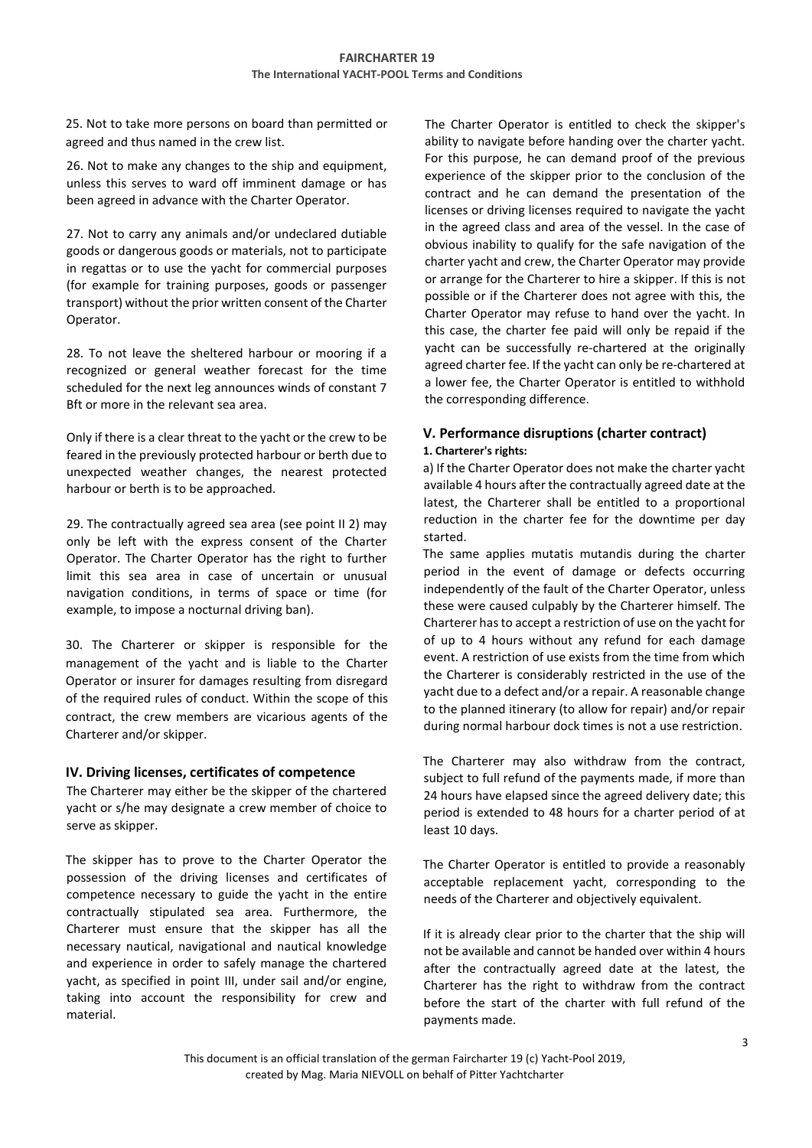25. Not to take more persons on board than permitted or agreed and thus named in the crew list.

26. Not to make any changes to the ship and equipment, unless this serves to ward off imminent damage or has been agreed in advance with the Charter Operator.

27. Not to carry any animals and/or undeclared dutiable goods or dangerous goods or materials, not to participate in regattas or to use the yacht for commercial purposes (for example for training purposes, goods or passenger transport) without the prior written consent of the Charter Operator.

28. To not leave the sheltered harbour or mooring if a recognized or general weather forecast for the time scheduled for the next leg announces winds of constant 7 Bft or more in the relevant sea area.

Only if there is a clear threat to the yacht or the crew to be feared in the previously protected harbour or berth due to unexpected weather changes, the nearest protected harbour or berth is to be approached.

29. The contractually agreed sea area (see point II 2) may only be left with the express consent of the Charter Operator. The Charter Operator has the right to further limit this sea area in case of uncertain or unusual navigation conditions, in terms of space or time (for example, to impose a nocturnal driving ban).

30. The Charterer or skipper is responsible for the management of the yacht and is liable to the Charter Operator or insurer for damages resulting from disregard of the required rules of conduct. Within the scope of this contract, the crew members are vicarious agents of the Charterer and/or skipper.

## **IV. Driving licenses, certificates of competence**

The Charterer may either be the skipper of the chartered yacht or s/he may designate a crew member of choice to serve as skipper.

The skipper has to prove to the Charter Operator the possession of the driving licenses and certificates of competence necessary to guide the yacht in the entire contractually stipulated sea area. Furthermore, the Charterer must ensure that the skipper has all the necessary nautical, navigational and nautical knowledge and experience in order to safely manage the chartered yacht, as specified in point III, under sail and/or engine, taking into account the responsibility for crew and material.

The Charter Operator is entitled to check the skipper's ability to navigate before handing over the charter yacht. For this purpose, he can demand proof of the previous experience of the skipper prior to the conclusion of the contract and he can demand the presentation of the licenses or driving licenses required to navigate the yacht in the agreed class and area of the vessel. In the case of obvious inability to qualify for the safe navigation of the charter yacht and crew, the Charter Operator may provide or arrange for the Charterer to hire a skipper. If this is not possible or if the Charterer does not agree with this, the Charter Operator may refuse to hand over the yacht. In this case, the charter fee paid will only be repaid if the yacht can be successfully re-chartered at the originally agreed charter fee. If the yacht can only be re-chartered at a lower fee, the Charter Operator is entitled to withhold the corresponding difference.

# **V. Performance disruptions (charter contract) 1. Charterer's rights:**

a) If the Charter Operator does not make the charter yacht available 4 hours after the contractually agreed date at the latest, the Charterer shall be entitled to a proportional reduction in the charter fee for the downtime per day started.

The same applies mutatis mutandis during the charter period in the event of damage or defects occurring independently of the fault of the Charter Operator, unless these were caused culpably by the Charterer himself. The Charterer has to accept a restriction of use on the yacht for of up to 4 hours without any refund for each damage event. A restriction of use exists from the time from which the Charterer is considerably restricted in the use of the yacht due to a defect and/or a repair. A reasonable change to the planned itinerary (to allow for repair) and/or repair during normal harbour dock times is not a use restriction.

The Charterer may also withdraw from the contract, subject to full refund of the payments made, if more than 24 hours have elapsed since the agreed delivery date; this period is extended to 48 hours for a charter period of at least 10 days.

The Charter Operator is entitled to provide a reasonably acceptable replacement yacht, corresponding to the needs of the Charterer and objectively equivalent.

If it is already clear prior to the charter that the ship will not be available and cannot be handed over within 4 hours after the contractually agreed date at the latest, the Charterer has the right to withdraw from the contract before the start of the charter with full refund of the payments made.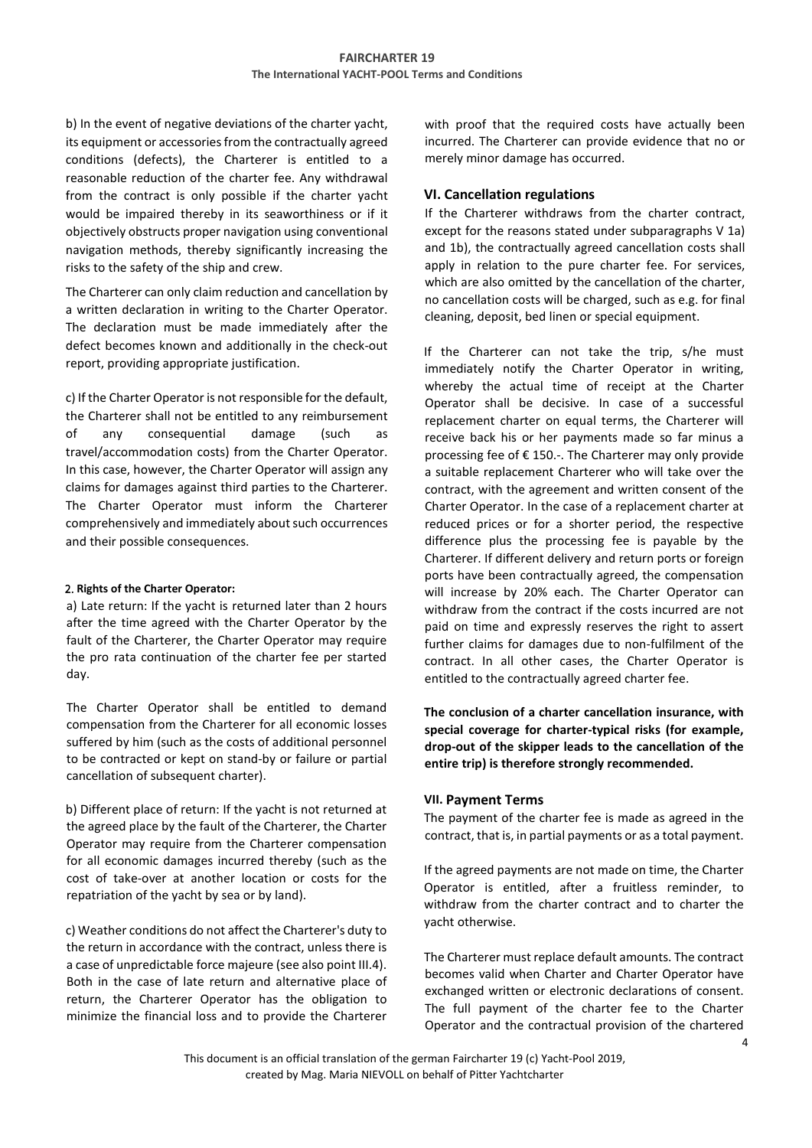b) In the event of negative deviations of the charter yacht, its equipment or accessories from the contractually agreed conditions (defects), the Charterer is entitled to a reasonable reduction of the charter fee. Any withdrawal from the contract is only possible if the charter yacht would be impaired thereby in its seaworthiness or if it objectively obstructs proper navigation using conventional navigation methods, thereby significantly increasing the risks to the safety of the ship and crew.

The Charterer can only claim reduction and cancellation by a written declaration in writing to the Charter Operator. The declaration must be made immediately after the defect becomes known and additionally in the check-out report, providing appropriate justification.

c) If the Charter Operator is not responsible for the default, the Charterer shall not be entitled to any reimbursement of any consequential damage (such as travel/accommodation costs) from the Charter Operator. In this case, however, the Charter Operator will assign any claims for damages against third parties to the Charterer. The Charter Operator must inform the Charterer comprehensively and immediately about such occurrences and their possible consequences.

#### 2. **Rights of the Charter Operator:**

a) Late return: If the yacht is returned later than 2 hours after the time agreed with the Charter Operator by the fault of the Charterer, the Charter Operator may require the pro rata continuation of the charter fee per started day.

The Charter Operator shall be entitled to demand compensation from the Charterer for all economic losses suffered by him (such as the costs of additional personnel to be contracted or kept on stand-by or failure or partial cancellation of subsequent charter).

b) Different place of return: If the yacht is not returned at the agreed place by the fault of the Charterer, the Charter Operator may require from the Charterer compensation for all economic damages incurred thereby (such as the cost of take-over at another location or costs for the repatriation of the yacht by sea or by land).

c) Weather conditions do not affect the Charterer's duty to the return in accordance with the contract, unless there is a case of unpredictable force majeure (see also point III.4). Both in the case of late return and alternative place of return, the Charterer Operator has the obligation to minimize the financial loss and to provide the Charterer with proof that the required costs have actually been incurred. The Charterer can provide evidence that no or merely minor damage has occurred.

# **VI. Cancellation regulations**

If the Charterer withdraws from the charter contract, except for the reasons stated under subparagraphs V 1a) and 1b), the contractually agreed cancellation costs shall apply in relation to the pure charter fee. For services, which are also omitted by the cancellation of the charter, no cancellation costs will be charged, such as e.g. for final cleaning, deposit, bed linen or special equipment.

If the Charterer can not take the trip, s/he must immediately notify the Charter Operator in writing, whereby the actual time of receipt at the Charter Operator shall be decisive. In case of a successful replacement charter on equal terms, the Charterer will receive back his or her payments made so far minus a processing fee of € 150.-. The Charterer may only provide a suitable replacement Charterer who will take over the contract, with the agreement and written consent of the Charter Operator. In the case of a replacement charter at reduced prices or for a shorter period, the respective difference plus the processing fee is payable by the Charterer. If different delivery and return ports or foreign ports have been contractually agreed, the compensation will increase by 20% each. The Charter Operator can withdraw from the contract if the costs incurred are not paid on time and expressly reserves the right to assert further claims for damages due to non-fulfilment of the contract. In all other cases, the Charter Operator is entitled to the contractually agreed charter fee.

**The conclusion of a charter cancellation insurance, with special coverage for charter-typical risks (for example, drop-out of the skipper leads to the cancellation of the entire trip) is therefore strongly recommended.**

## **VII. Payment Terms**

The payment of the charter fee is made as agreed in the contract, that is, in partial payments or as a total payment.

If the agreed payments are not made on time, the Charter Operator is entitled, after a fruitless reminder, to withdraw from the charter contract and to charter the yacht otherwise.

The Charterer must replace default amounts. The contract becomes valid when Charter and Charter Operator have exchanged written or electronic declarations of consent. The full payment of the charter fee to the Charter Operator and the contractual provision of the chartered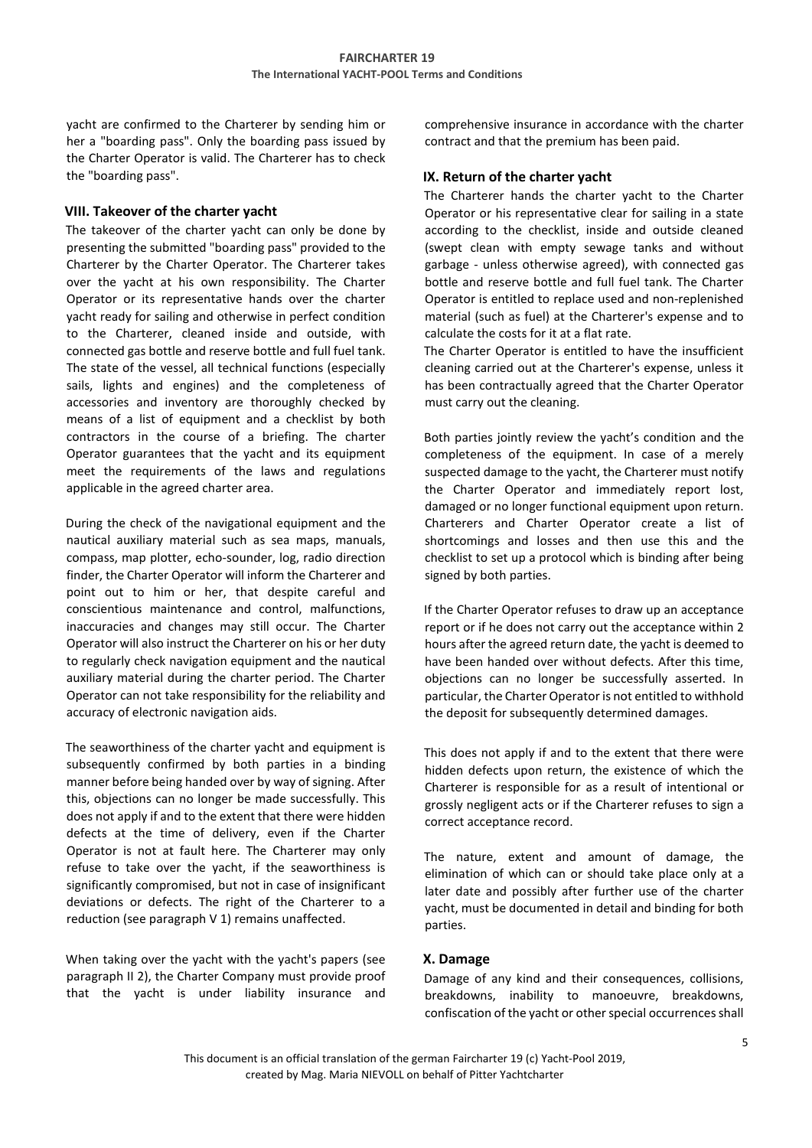yacht are confirmed to the Charterer by sending him or her a "boarding pass". Only the boarding pass issued by the Charter Operator is valid. The Charterer has to check the "boarding pass".

# **VIII. Takeover of the charter yacht**

The takeover of the charter yacht can only be done by presenting the submitted "boarding pass" provided to the Charterer by the Charter Operator. The Charterer takes over the yacht at his own responsibility. The Charter Operator or its representative hands over the charter yacht ready for sailing and otherwise in perfect condition to the Charterer, cleaned inside and outside, with connected gas bottle and reserve bottle and full fuel tank. The state of the vessel, all technical functions (especially sails, lights and engines) and the completeness of accessories and inventory are thoroughly checked by means of a list of equipment and a checklist by both contractors in the course of a briefing. The charter Operator guarantees that the yacht and its equipment meet the requirements of the laws and regulations applicable in the agreed charter area.

During the check of the navigational equipment and the nautical auxiliary material such as sea maps, manuals, compass, map plotter, echo-sounder, log, radio direction finder, the Charter Operator will inform the Charterer and point out to him or her, that despite careful and conscientious maintenance and control, malfunctions, inaccuracies and changes may still occur. The Charter Operator will also instruct the Charterer on his or her duty to regularly check navigation equipment and the nautical auxiliary material during the charter period. The Charter Operator can not take responsibility for the reliability and accuracy of electronic navigation aids.

The seaworthiness of the charter yacht and equipment is subsequently confirmed by both parties in a binding manner before being handed over by way of signing. After this, objections can no longer be made successfully. This does not apply if and to the extent that there were hidden defects at the time of delivery, even if the Charter Operator is not at fault here. The Charterer may only refuse to take over the yacht, if the seaworthiness is significantly compromised, but not in case of insignificant deviations or defects. The right of the Charterer to a reduction (see paragraph V 1) remains unaffected.

When taking over the yacht with the yacht's papers (see paragraph II 2), the Charter Company must provide proof that the yacht is under liability insurance and comprehensive insurance in accordance with the charter contract and that the premium has been paid.

# **IX. Return of the charter yacht**

The Charterer hands the charter yacht to the Charter Operator or his representative clear for sailing in a state according to the checklist, inside and outside cleaned (swept clean with empty sewage tanks and without garbage - unless otherwise agreed), with connected gas bottle and reserve bottle and full fuel tank. The Charter Operator is entitled to replace used and non-replenished material (such as fuel) at the Charterer's expense and to calculate the costs for it at a flat rate.

The Charter Operator is entitled to have the insufficient cleaning carried out at the Charterer's expense, unless it has been contractually agreed that the Charter Operator must carry out the cleaning.

Both parties jointly review the yacht's condition and the completeness of the equipment. In case of a merely suspected damage to the yacht, the Charterer must notify the Charter Operator and immediately report lost, damaged or no longer functional equipment upon return. Charterers and Charter Operator create a list of shortcomings and losses and then use this and the checklist to set up a protocol which is binding after being signed by both parties.

If the Charter Operator refuses to draw up an acceptance report or if he does not carry out the acceptance within 2 hours after the agreed return date, the yacht is deemed to have been handed over without defects. After this time, objections can no longer be successfully asserted. In particular, the Charter Operator is not entitled to withhold the deposit for subsequently determined damages.

This does not apply if and to the extent that there were hidden defects upon return, the existence of which the Charterer is responsible for as a result of intentional or grossly negligent acts or if the Charterer refuses to sign a correct acceptance record.

The nature, extent and amount of damage, the elimination of which can or should take place only at a later date and possibly after further use of the charter yacht, must be documented in detail and binding for both parties.

# **X. Damage**

Damage of any kind and their consequences, collisions, breakdowns, inability to manoeuvre, breakdowns, confiscation of the yacht or other special occurrences shall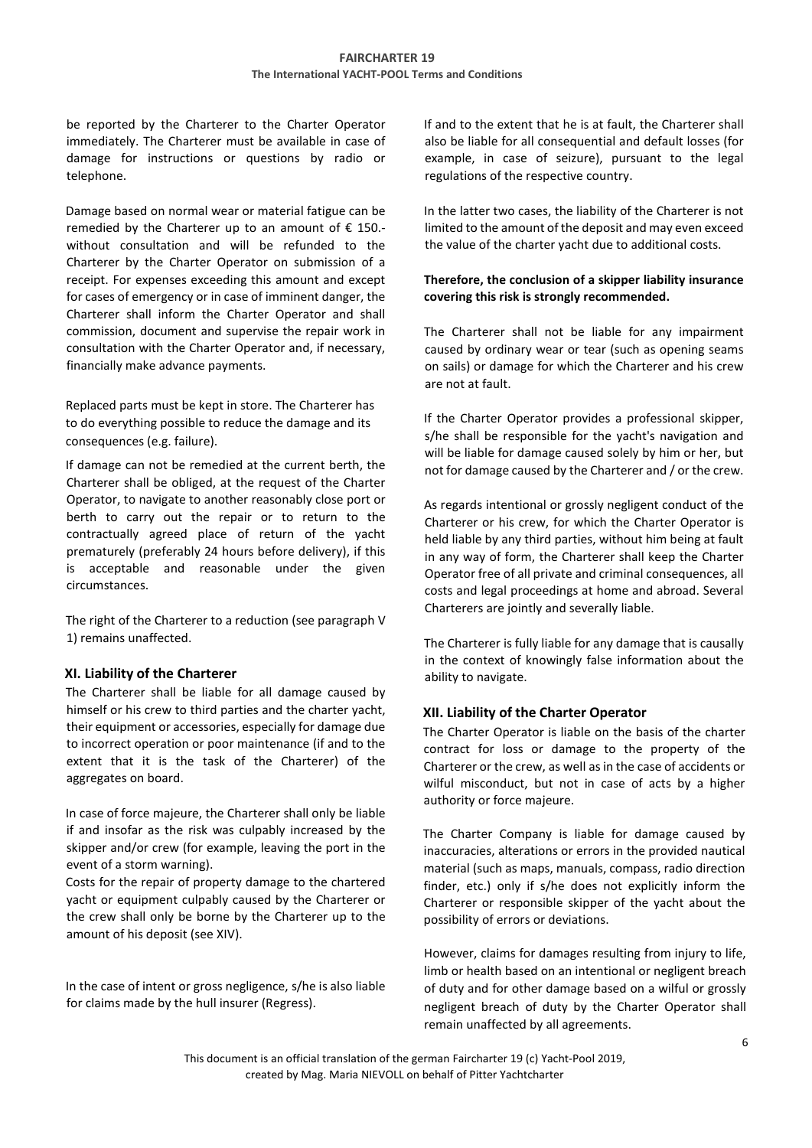be reported by the Charterer to the Charter Operator immediately. The Charterer must be available in case of damage for instructions or questions by radio or telephone.

Damage based on normal wear or material fatigue can be remedied by the Charterer up to an amount of  $\epsilon$  150.without consultation and will be refunded to the Charterer by the Charter Operator on submission of a receipt. For expenses exceeding this amount and except for cases of emergency or in case of imminent danger, the Charterer shall inform the Charter Operator and shall commission, document and supervise the repair work in consultation with the Charter Operator and, if necessary, financially make advance payments.

Replaced parts must be kept in store. The Charterer has to do everything possible to reduce the damage and its consequences (e.g. failure).

If damage can not be remedied at the current berth, the Charterer shall be obliged, at the request of the Charter Operator, to navigate to another reasonably close port or berth to carry out the repair or to return to the contractually agreed place of return of the yacht prematurely (preferably 24 hours before delivery), if this is acceptable and reasonable under the given circumstances.

The right of the Charterer to a reduction (see paragraph V 1) remains unaffected.

## **XI. Liability of the Charterer**

The Charterer shall be liable for all damage caused by himself or his crew to third parties and the charter yacht, their equipment or accessories, especially for damage due to incorrect operation or poor maintenance (if and to the extent that it is the task of the Charterer) of the aggregates on board.

In case of force majeure, the Charterer shall only be liable if and insofar as the risk was culpably increased by the skipper and/or crew (for example, leaving the port in the event of a storm warning).

Costs for the repair of property damage to the chartered yacht or equipment culpably caused by the Charterer or the crew shall only be borne by the Charterer up to the amount of his deposit (see XIV).

In the case of intent or gross negligence, s/he is also liable for claims made by the hull insurer (Regress).

If and to the extent that he is at fault, the Charterer shall also be liable for all consequential and default losses (for example, in case of seizure), pursuant to the legal regulations of the respective country.

In the latter two cases, the liability of the Charterer is not limited to the amount of the deposit and may even exceed the value of the charter yacht due to additional costs.

## **Therefore, the conclusion of a skipper liability insurance covering this risk is strongly recommended.**

The Charterer shall not be liable for any impairment caused by ordinary wear or tear (such as opening seams on sails) or damage for which the Charterer and his crew are not at fault.

If the Charter Operator provides a professional skipper, s/he shall be responsible for the yacht's navigation and will be liable for damage caused solely by him or her, but not for damage caused by the Charterer and / or the crew.

As regards intentional or grossly negligent conduct of the Charterer or his crew, for which the Charter Operator is held liable by any third parties, without him being at fault in any way of form, the Charterer shall keep the Charter Operator free of all private and criminal consequences, all costs and legal proceedings at home and abroad. Several Charterers are jointly and severally liable.

The Charterer is fully liable for any damage that is causally in the context of knowingly false information about the ability to navigate.

# **XII. Liability of the Charter Operator**

The Charter Operator is liable on the basis of the charter contract for loss or damage to the property of the Charterer or the crew, as well as in the case of accidents or wilful misconduct, but not in case of acts by a higher authority or force majeure.

The Charter Company is liable for damage caused by inaccuracies, alterations or errors in the provided nautical material (such as maps, manuals, compass, radio direction finder, etc.) only if s/he does not explicitly inform the Charterer or responsible skipper of the yacht about the possibility of errors or deviations.

However, claims for damages resulting from injury to life, limb or health based on an intentional or negligent breach of duty and for other damage based on a wilful or grossly negligent breach of duty by the Charter Operator shall remain unaffected by all agreements.

This document is an official translation of the german Faircharter 19 (c) Yacht-Pool 2019, created by Mag. Maria NIEVOLL on behalf of Pitter Yachtcharter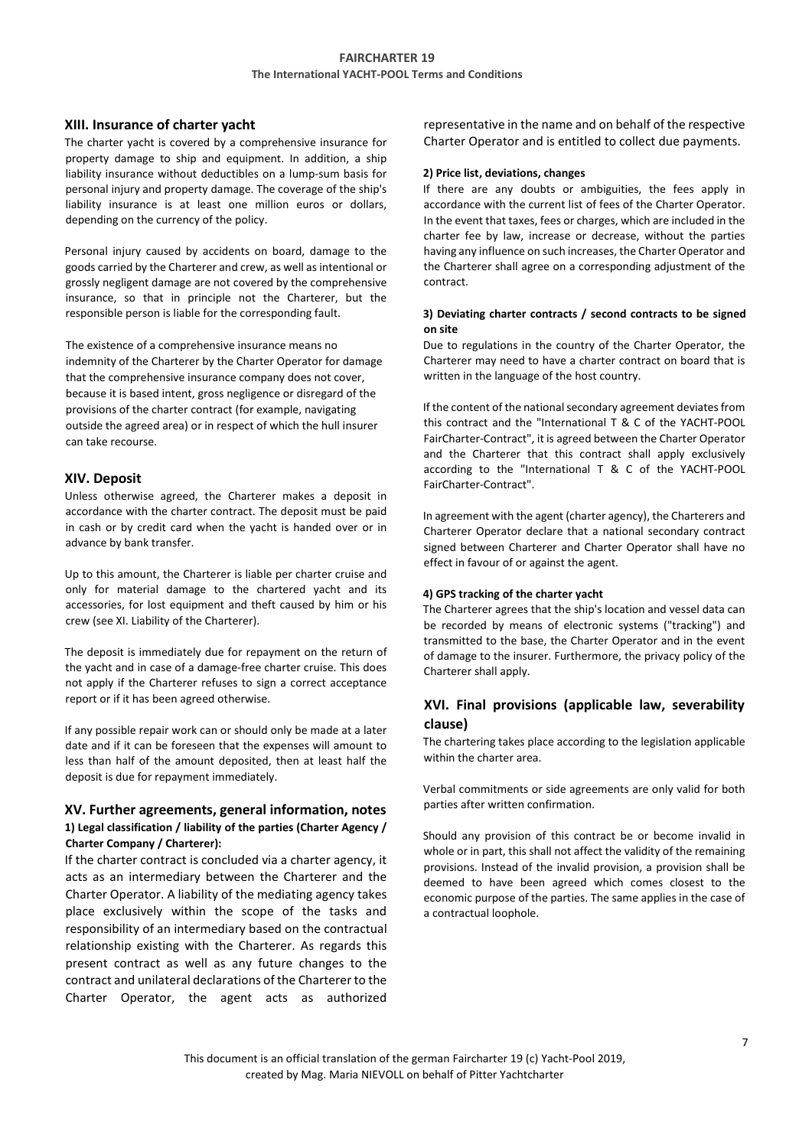## **XIII. Insurance of charter yacht**

The charter yacht is covered by a comprehensive insurance for property damage to ship and equipment. In addition, a ship liability insurance without deductibles on a lump-sum basis for personal injury and property damage. The coverage of the ship's liability insurance is at least one million euros or dollars, depending on the currency of the policy.

Personal injury caused by accidents on board, damage to the goods carried by the Charterer and crew, as well as intentional or grossly negligent damage are not covered by the comprehensive insurance, so that in principle not the Charterer, but the responsible person is liable for the corresponding fault.

The existence of a comprehensive insurance means no indemnity of the Charterer by the Charter Operator for damage that the comprehensive insurance company does not cover, because it is based intent, gross negligence or disregard of the provisions of the charter contract (for example, navigating outside the agreed area) or in respect of which the hull insurer can take recourse.

#### **XIV. Deposit**

Unless otherwise agreed, the Charterer makes a deposit in accordance with the charter contract. The deposit must be paid in cash or by credit card when the yacht is handed over or in advance by bank transfer.

Up to this amount, the Charterer is liable per charter cruise and only for material damage to the chartered yacht and its accessories, for lost equipment and theft caused by him or his crew (see XI. Liability of the Charterer).

The deposit is immediately due for repayment on the return of the yacht and in case of a damage-free charter cruise. This does not apply if the Charterer refuses to sign a correct acceptance report or if it has been agreed otherwise.

If any possible repair work can or should only be made at a later date and if it can be foreseen that the expenses will amount to less than half of the amount deposited, then at least half the deposit is due for repayment immediately.

# **XV. Further agreements, general information, notes 1) Legal classification / liability of the parties (Charter Agency / Charter Company / Charterer):**

If the charter contract is concluded via a charter agency, it acts as an intermediary between the Charterer and the Charter Operator. A liability of the mediating agency takes place exclusively within the scope of the tasks and responsibility of an intermediary based on the contractual relationship existing with the Charterer. As regards this present contract as well as any future changes to the contract and unilateral declarations of the Charterer to the Charter Operator, the agent acts as authorized

representative in the name and on behalf of the respective Charter Operator and is entitled to collect due payments.

#### **2) Price list, deviations, changes**

If there are any doubts or ambiguities, the fees apply in accordance with the current list of fees of the Charter Operator. In the event that taxes, fees or charges, which are included in the charter fee by law, increase or decrease, without the parties having any influence on such increases, the Charter Operator and the Charterer shall agree on a corresponding adjustment of the contract.

### **3) Deviating charter contracts / second contracts to be signed on site**

Due to regulations in the country of the Charter Operator, the Charterer may need to have a charter contract on board that is written in the language of the host country.

If the content of the national secondary agreement deviates from this contract and the "International T & C of the YACHT-POOL FairCharter-Contract", it is agreed between the Charter Operator and the Charterer that this contract shall apply exclusively according to the "International T & C of the YACHT-POOL FairCharter-Contract".

In agreement with the agent (charter agency), the Charterers and Charterer Operator declare that a national secondary contract signed between Charterer and Charter Operator shall have no effect in favour of or against the agent.

#### **4) GPS tracking of the charter yacht**

The Charterer agrees that the ship's location and vessel data can be recorded by means of electronic systems ("tracking") and transmitted to the base, the Charter Operator and in the event of damage to the insurer. Furthermore, the privacy policy of the Charterer shall apply.

# **XVI. Final provisions (applicable law, severability clause)**

The chartering takes place according to the legislation applicable within the charter area.

Verbal commitments or side agreements are only valid for both parties after written confirmation.

Should any provision of this contract be or become invalid in whole or in part, this shall not affect the validity of the remaining provisions. Instead of the invalid provision, a provision shall be deemed to have been agreed which comes closest to the economic purpose of the parties. The same applies in the case of a contractual loophole.